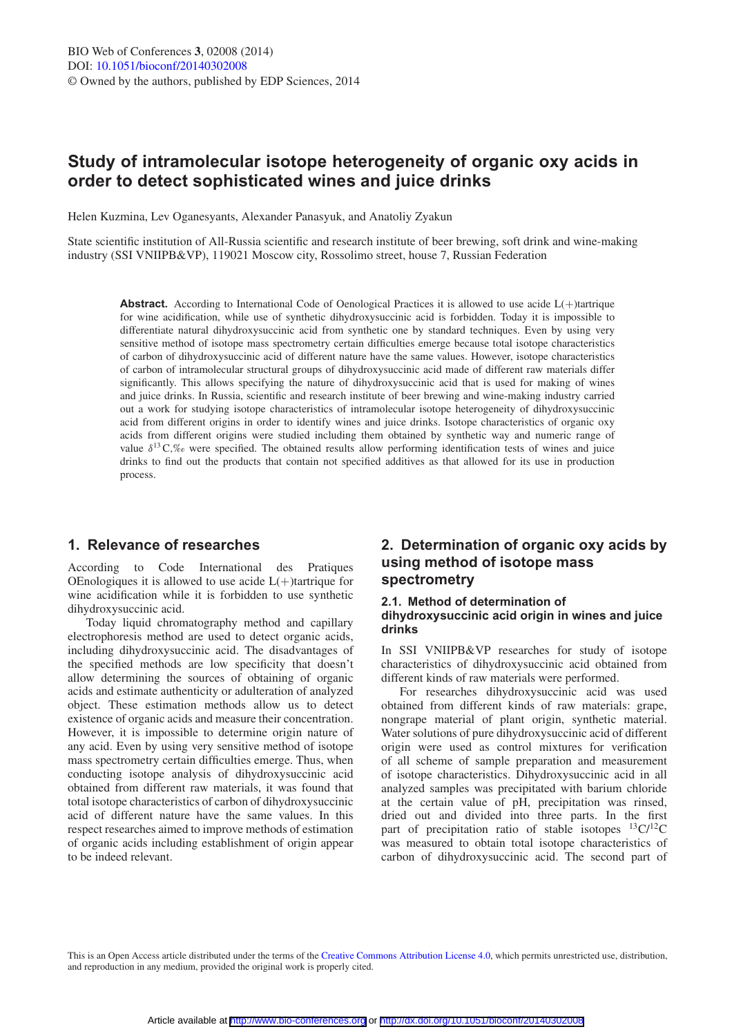# **Study of intramolecular isotope heterogeneity of organic oxy acids in order to detect sophisticated wines and juice drinks**

Helen Kuzmina, Lev Oganesyants, Alexander Panasyuk, and Anatoliy Zyakun

State scientific institution of All-Russia scientific and research institute of beer brewing, soft drink and wine-making industry (SSI VNIIPB&VP), 119021 Moscow city, Rossolimo street, house 7, Russian Federation

Abstract. According to International Code of Oenological Practices it is allowed to use acide L(+)tartrique for wine acidification, while use of synthetic dihydroxysuccinic acid is forbidden. Today it is impossible to differentiate natural dihydroxysuccinic acid from synthetic one by standard techniques. Even by using very sensitive method of isotope mass spectrometry certain difficulties emerge because total isotope characteristics of carbon of dihydroxysuccinic acid of different nature have the same values. However, isotope characteristics of carbon of intramolecular structural groups of dihydroxysuccinic acid made of different raw materials differ significantly. This allows specifying the nature of dihydroxysuccinic acid that is used for making of wines and juice drinks. In Russia, scientific and research institute of beer brewing and wine-making industry carried out a work for studying isotope characteristics of intramolecular isotope heterogeneity of dihydroxysuccinic acid from different origins in order to identify wines and juice drinks. Isotope characteristics of organic oxy acids from different origins were studied including them obtained by synthetic way and numeric range of value  $\delta^{13}C$ , were specified. The obtained results allow performing identification tests of wines and juice drinks to find out the products that contain not specified additives as that allowed for its use in production process.

## **1. Relevance of researches**

According to Code International des Pratiques OEnologiques it is allowed to use acide  $L(+)$ tartrique for wine acidification while it is forbidden to use synthetic dihydroxysuccinic acid.

Today liquid chromatography method and capillary electrophoresis method are used to detect organic acids, including dihydroxysuccinic acid. The disadvantages of the specified methods are low specificity that doesn't allow determining the sources of obtaining of organic acids and estimate authenticity or adulteration of analyzed object. These estimation methods allow us to detect existence of organic acids and measure their concentration. However, it is impossible to determine origin nature of any acid. Even by using very sensitive method of isotope mass spectrometry certain difficulties emerge. Thus, when conducting isotope analysis of dihydroxysuccinic acid obtained from different raw materials, it was found that total isotope characteristics of carbon of dihydroxysuccinic acid of different nature have the same values. In this respect researches aimed to improve methods of estimation of organic acids including establishment of origin appear to be indeed relevant.

## **2. Determination of organic oxy acids by using method of isotope mass spectrometry**

### **2.1. Method of determination of dihydroxysuccinic acid origin in wines and juice drinks**

In SSI VNIIPB&VP researches for study of isotope characteristics of dihydroxysuccinic acid obtained from different kinds of raw materials were performed.

For researches dihydroxysuccinic acid was used obtained from different kinds of raw materials: grape, nongrape material of plant origin, synthetic material. Water solutions of pure dihydroxysuccinic acid of different origin were used as control mixtures for verification of all scheme of sample preparation and measurement of isotope characteristics. Dihydroxysuccinic acid in all analyzed samples was precipitated with barium chloride at the certain value of pH, precipitation was rinsed, dried out and divided into three parts. In the first part of precipitation ratio of stable isotopes  $^{13}C/^{12}C$ was measured to obtain total isotope characteristics of carbon of dihydroxysuccinic acid. The second part of

This is an Open Access article distributed under the terms of the [Creative Commons Attribution License 4.0,](http://creativecommons.org/licenses/by/4.0/) which permits unrestricted use, distribution, and reproduction in any medium, provided the original work is properly cited.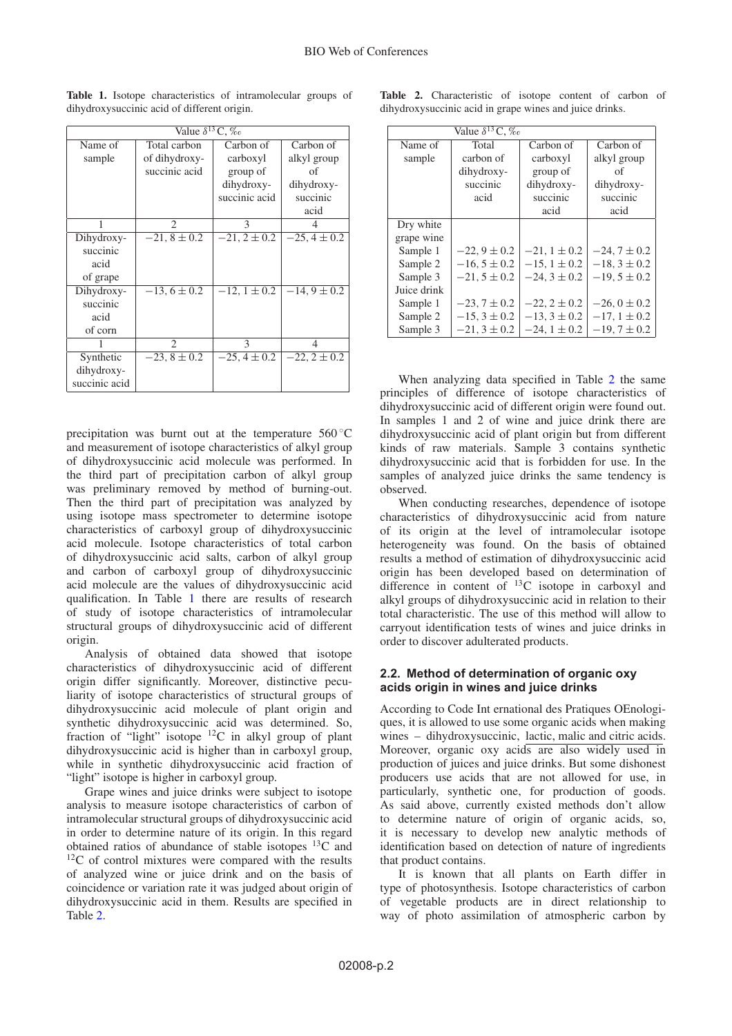| Value $\delta^{13}$ C, $\%$ |                  |                  |                  |  |
|-----------------------------|------------------|------------------|------------------|--|
| Name of                     | Total carbon     | Carbon of        | Carbon of        |  |
| sample                      | of dihydroxy-    | carboxyl         | alkyl group      |  |
|                             | succinic acid    | group of         | of               |  |
|                             |                  | dihydroxy-       | dihydroxy-       |  |
|                             |                  | succinic acid    | succinic         |  |
|                             |                  |                  | acid             |  |
|                             | $\mathfrak{D}$   | 3                |                  |  |
| Dihydroxy-                  | $-21, 8 \pm 0.2$ | $-21, 2 \pm 0.2$ | $-25, 4 \pm 0.2$ |  |
| succinic                    |                  |                  |                  |  |
| acid                        |                  |                  |                  |  |
| of grape                    |                  |                  |                  |  |
| Dihydroxy-                  | $-13, 6 \pm 0.2$ | $-12, 1 \pm 0.2$ | $-14, 9 \pm 0.2$ |  |
| succinic                    |                  |                  |                  |  |
| acid                        |                  |                  |                  |  |
| of corn                     |                  |                  |                  |  |
|                             | $\overline{c}$   | $\mathcal{E}$    | 4                |  |
| Synthetic                   | $-23, 8 \pm 0.2$ | $-25, 4 \pm 0.2$ | $-22, 2 \pm 0.2$ |  |
| dihydroxy-                  |                  |                  |                  |  |
| succinic acid               |                  |                  |                  |  |

<span id="page-1-0"></span>**Table 1.** Isotope characteristics of intramolecular groups of dihydroxysuccinic acid of different origin.

precipitation was burnt out at the temperature 560 ◦C and measurement of isotope characteristics of alkyl group of dihydroxysuccinic acid molecule was performed. In the third part of precipitation carbon of alkyl group was preliminary removed by method of burning-out. Then the third part of precipitation was analyzed by using isotope mass spectrometer to determine isotope characteristics of carboxyl group of dihydroxysuccinic acid molecule. Isotope characteristics of total carbon of dihydroxysuccinic acid salts, carbon of alkyl group and carbon of carboxyl group of dihydroxysuccinic acid molecule are the values of dihydroxysuccinic acid qualification. In Table [1](#page-1-0) there are results of research of study of isotope characteristics of intramolecular structural groups of dihydroxysuccinic acid of different origin.

Analysis of obtained data showed that isotope characteristics of dihydroxysuccinic acid of different origin differ significantly. Moreover, distinctive peculiarity of isotope characteristics of structural groups of dihydroxysuccinic acid molecule of plant origin and synthetic dihydroxysuccinic acid was determined. So, fraction of "light" isotope 12C in alkyl group of plant dihydroxysuccinic acid is higher than in carboxyl group, while in synthetic dihydroxysuccinic acid fraction of "light" isotope is higher in carboxyl group.

Grape wines and juice drinks were subject to isotope analysis to measure isotope characteristics of carbon of intramolecular structural groups of dihydroxysuccinic acid in order to determine nature of its origin. In this regard obtained ratios of abundance of stable isotopes  ${}^{13}C$  and  $12^{\circ}$ C of control mixtures were compared with the results of analyzed wine or juice drink and on the basis of coincidence or variation rate it was judged about origin of dihydroxysuccinic acid in them. Results are specified in Table [2.](#page-1-1)

<span id="page-1-1"></span>

|                                                          |  | <b>Table 2.</b> Characteristic of isotope content of carbon of |  |  |  |  |  |  |
|----------------------------------------------------------|--|----------------------------------------------------------------|--|--|--|--|--|--|
| dihydroxy succinic acid in grape wines and juice drinks. |  |                                                                |  |  |  |  |  |  |

| Value $\delta^{13}$ C, $\%$ |                  |                  |                  |  |
|-----------------------------|------------------|------------------|------------------|--|
| Name of                     | Total            | Carbon of        | Carbon of        |  |
| sample                      | carbon of        | carboxyl         | alkyl group      |  |
|                             | dihydroxy-       | group of         | of               |  |
|                             | succinic         | dihydroxy-       | dihydroxy-       |  |
|                             | acid             | succinic         | succinic         |  |
|                             |                  | acid             | acid             |  |
| Dry white                   |                  |                  |                  |  |
| grape wine                  |                  |                  |                  |  |
| Sample 1                    | $-22, 9 \pm 0.2$ | $-21, 1 \pm 0.2$ | $-24, 7 \pm 0.2$ |  |
| Sample 2                    | $-16, 5 \pm 0.2$ | $-15, 1 \pm 0.2$ | $-18, 3 \pm 0.2$ |  |
| Sample 3                    | $-21, 5 \pm 0.2$ | $-24, 3 \pm 0.2$ | $-19, 5 \pm 0.2$ |  |
| Juice drink                 |                  |                  |                  |  |
| Sample 1                    | $-23, 7 \pm 0.2$ | $-22, 2 \pm 0.2$ | $-26, 0 \pm 0.2$ |  |
| Sample 2                    | $-15, 3 \pm 0.2$ | $-13, 3 \pm 0.2$ | $-17, 1 \pm 0.2$ |  |
| Sample 3                    | $-21, 3 \pm 0.2$ | $-24, 1 \pm 0.2$ | $-19, 7 \pm 0.2$ |  |

When analyzing data specified in Table [2](#page-1-1) the same principles of difference of isotope characteristics of dihydroxysuccinic acid of different origin were found out. In samples 1 and 2 of wine and juice drink there are dihydroxysuccinic acid of plant origin but from different kinds of raw materials. Sample 3 contains synthetic dihydroxysuccinic acid that is forbidden for use. In the samples of analyzed juice drinks the same tendency is observed.

When conducting researches, dependence of isotope characteristics of dihydroxysuccinic acid from nature of its origin at the level of intramolecular isotope heterogeneity was found. On the basis of obtained results a method of estimation of dihydroxysuccinic acid origin has been developed based on determination of difference in content of  $^{13}$ C isotope in carboxyl and alkyl groups of dihydroxysuccinic acid in relation to their total characteristic. The use of this method will allow to carryout identification tests of wines and juice drinks in order to discover adulterated products.

### **2.2. Method of determination of organic oxy acids origin in wines and juice drinks**

According to Code Int ernational des Pratiques OEnologiques, it is allowed to use some organic acids when making wines – dihydroxysuccinic, lactic, malic and citric acids. Moreover, organic oxy acids are also widely used in production of juices and juice drinks. But some dishonest producers use acids that are not allowed for use, in particularly, synthetic one, for production of goods. As said above, currently existed methods don't allow to determine nature of origin of organic acids, so, it is necessary to develop new analytic methods of identification based on detection of nature of ingredients that product contains.

It is known that all plants on Earth differ in type of photosynthesis. Isotope characteristics of carbon of vegetable products are in direct relationship to way of photo assimilation of atmospheric carbon by